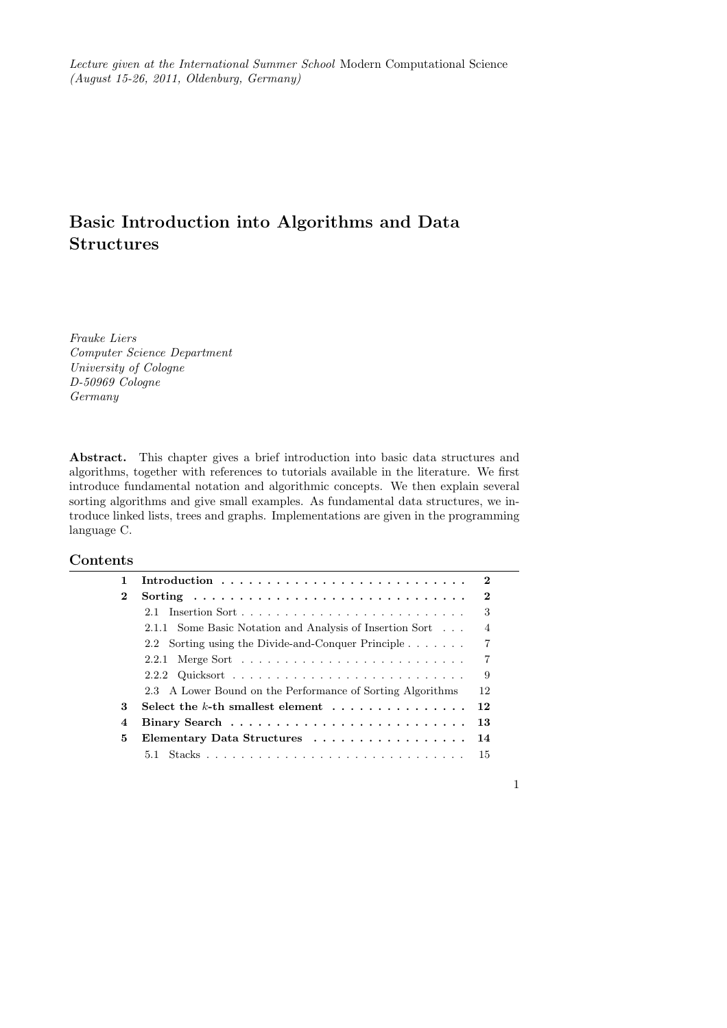# Basic Introduction into Algorithms and Data Structures

*Frauke Liers Computer Science Department University of Cologne D-50969 Cologne Germany*

Abstract. This chapter gives a brief introduction into basic data structures and algorithms, together with references to tutorials available in the literature. We first introduce fundamental notation and algorithmic concepts. We then explain several sorting algorithms and give small examples. As fundamental data structures, we introduce linked lists, trees and graphs. Implementations are given in the programming language C.

### Contents

| $\bf{2}$ | $\mathbf{2}$                                                     |  |
|----------|------------------------------------------------------------------|--|
|          | 3                                                                |  |
|          | 2.1.1 Some Basic Notation and Analysis of Insertion Sort<br>4    |  |
|          | 2.2 Sorting using the Divide-and-Conquer Principle<br>7          |  |
|          | 7                                                                |  |
|          | 9                                                                |  |
|          | 2.3 A Lower Bound on the Performance of Sorting Algorithms<br>12 |  |
| 3        | Select the k-th smallest element $\dots$ , , ,  12               |  |
| 4        |                                                                  |  |
| 5        | Elementary Data Structures<br>14                                 |  |
|          | 5.1                                                              |  |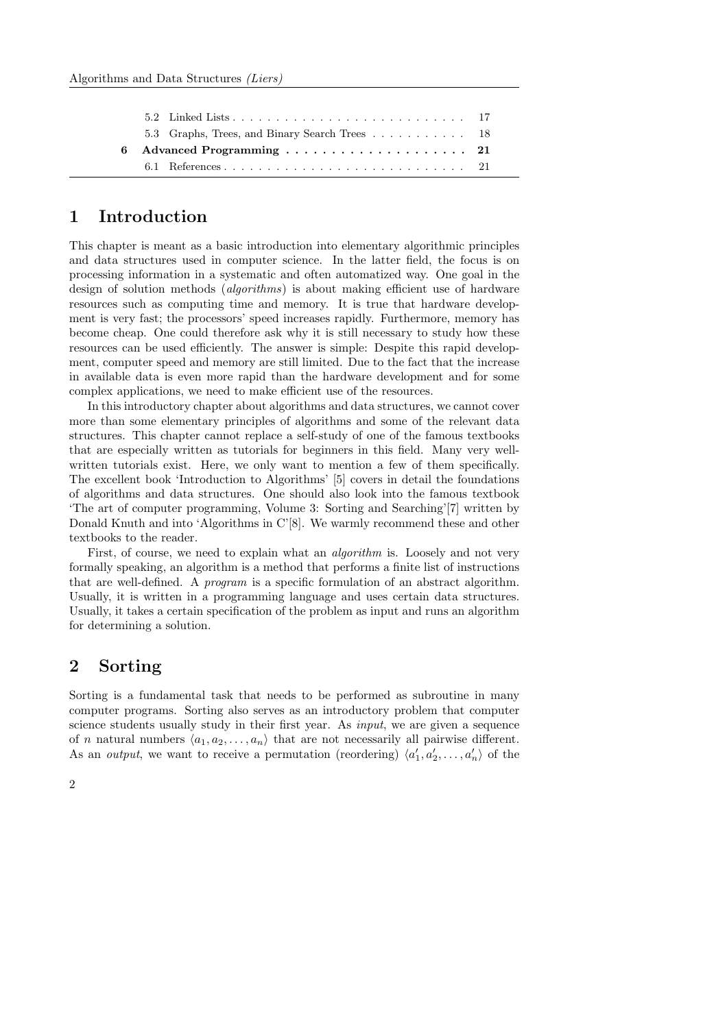| 5.3 Graphs, Trees, and Binary Search Trees 18 |  |
|-----------------------------------------------|--|
|                                               |  |
|                                               |  |

### 1 Introduction

This chapter is meant as a basic introduction into elementary algorithmic principles and data structures used in computer science. In the latter field, the focus is on processing information in a systematic and often automatized way. One goal in the design of solution methods (*algorithms*) is about making efficient use of hardware resources such as computing time and memory. It is true that hardware development is very fast; the processors' speed increases rapidly. Furthermore, memory has become cheap. One could therefore ask why it is still necessary to study how these resources can be used efficiently. The answer is simple: Despite this rapid development, computer speed and memory are still limited. Due to the fact that the increase in available data is even more rapid than the hardware development and for some complex applications, we need to make efficient use of the resources.

In this introductory chapter about algorithms and data structures, we cannot cover more than some elementary principles of algorithms and some of the relevant data structures. This chapter cannot replace a self-study of one of the famous textbooks that are especially written as tutorials for beginners in this field. Many very wellwritten tutorials exist. Here, we only want to mention a few of them specifically. The excellent book 'Introduction to Algorithms' [5] covers in detail the foundations of algorithms and data structures. One should also look into the famous textbook 'The art of computer programming, Volume 3: Sorting and Searching'[7] written by Donald Knuth and into 'Algorithms in C'[8]. We warmly recommend these and other textbooks to the reader.

First, of course, we need to explain what an *algorithm* is. Loosely and not very formally speaking, an algorithm is a method that performs a finite list of instructions that are well-defined. A *program* is a specific formulation of an abstract algorithm. Usually, it is written in a programming language and uses certain data structures. Usually, it takes a certain specification of the problem as input and runs an algorithm for determining a solution.

# 2 Sorting

Sorting is a fundamental task that needs to be performed as subroutine in many computer programs. Sorting also serves as an introductory problem that computer science students usually study in their first year. As *input*, we are given a sequence of n natural numbers  $\langle a_1, a_2, \ldots, a_n \rangle$  that are not necessarily all pairwise different. As an *output*, we want to receive a permutation (reordering)  $\langle a'_1, a'_2, \ldots, a'_n \rangle$  of the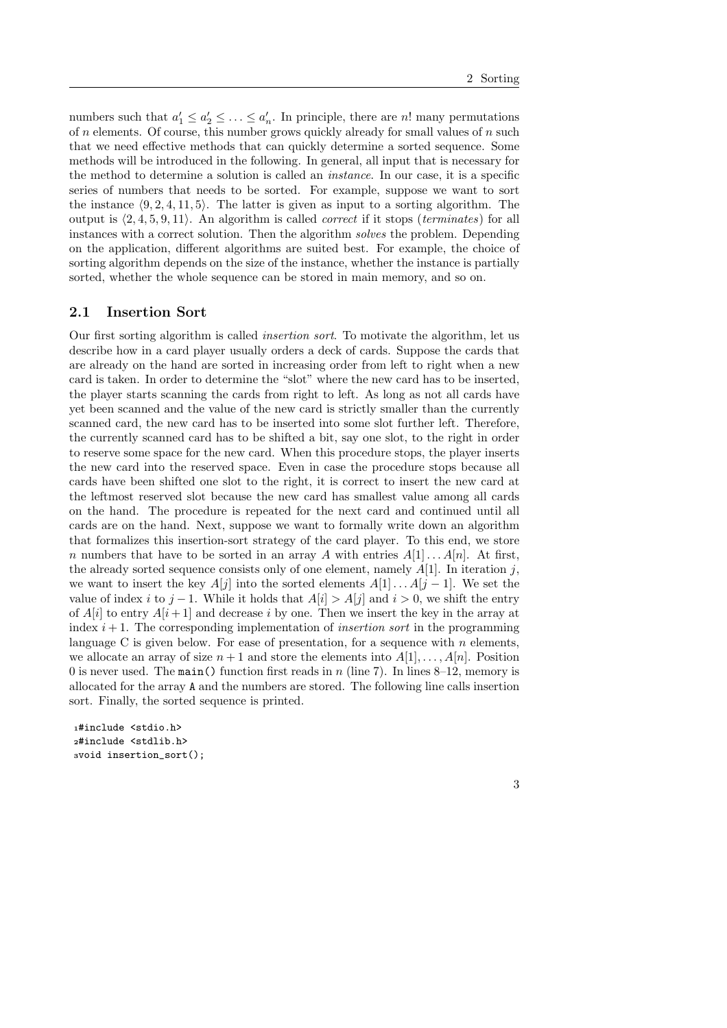numbers such that  $a'_1 \leq a'_2 \leq \ldots \leq a'_n$ . In principle, there are n! many permutations of n elements. Of course, this number grows quickly already for small values of  $n$  such that we need effective methods that can quickly determine a sorted sequence. Some methods will be introduced in the following. In general, all input that is necessary for the method to determine a solution is called an *instance*. In our case, it is a specific series of numbers that needs to be sorted. For example, suppose we want to sort the instance  $(9, 2, 4, 11, 5)$ . The latter is given as input to a sorting algorithm. The output is  $\langle 2, 4, 5, 9, 11 \rangle$ . An algorithm is called *correct* if it stops (*terminates*) for all instances with a correct solution. Then the algorithm *solves* the problem. Depending on the application, different algorithms are suited best. For example, the choice of sorting algorithm depends on the size of the instance, whether the instance is partially sorted, whether the whole sequence can be stored in main memory, and so on.

#### 2.1 Insertion Sort

Our first sorting algorithm is called *insertion sort*. To motivate the algorithm, let us describe how in a card player usually orders a deck of cards. Suppose the cards that are already on the hand are sorted in increasing order from left to right when a new card is taken. In order to determine the "slot" where the new card has to be inserted, the player starts scanning the cards from right to left. As long as not all cards have yet been scanned and the value of the new card is strictly smaller than the currently scanned card, the new card has to be inserted into some slot further left. Therefore, the currently scanned card has to be shifted a bit, say one slot, to the right in order to reserve some space for the new card. When this procedure stops, the player inserts the new card into the reserved space. Even in case the procedure stops because all cards have been shifted one slot to the right, it is correct to insert the new card at the leftmost reserved slot because the new card has smallest value among all cards on the hand. The procedure is repeated for the next card and continued until all cards are on the hand. Next, suppose we want to formally write down an algorithm that formalizes this insertion-sort strategy of the card player. To this end, we store n numbers that have to be sorted in an array A with entries  $A[1] \dots A[n]$ . At first, the already sorted sequence consists only of one element, namely  $A[1]$ . In iteration j, we want to insert the key  $A[j]$  into the sorted elements  $A[1] \ldots A[j-1]$ . We set the value of index i to j − 1. While it holds that  $A[i] > A[j]$  and  $i > 0$ , we shift the entry of  $A[i]$  to entry  $A[i+1]$  and decrease i by one. Then we insert the key in the array at index  $i + 1$ . The corresponding implementation of *insertion sort* in the programming language C is given below. For ease of presentation, for a sequence with  $n$  elements, we allocate an array of size  $n+1$  and store the elements into  $A[1], \ldots, A[n]$ . Position 0 is never used. The main() function first reads in  $n$  (line 7). In lines 8–12, memory is allocated for the array A and the numbers are stored. The following line calls insertion sort. Finally, the sorted sequence is printed.

```
1#include <stdio.h>
2#include <stdlib.h>
3void insertion_sort();
```

```
3
```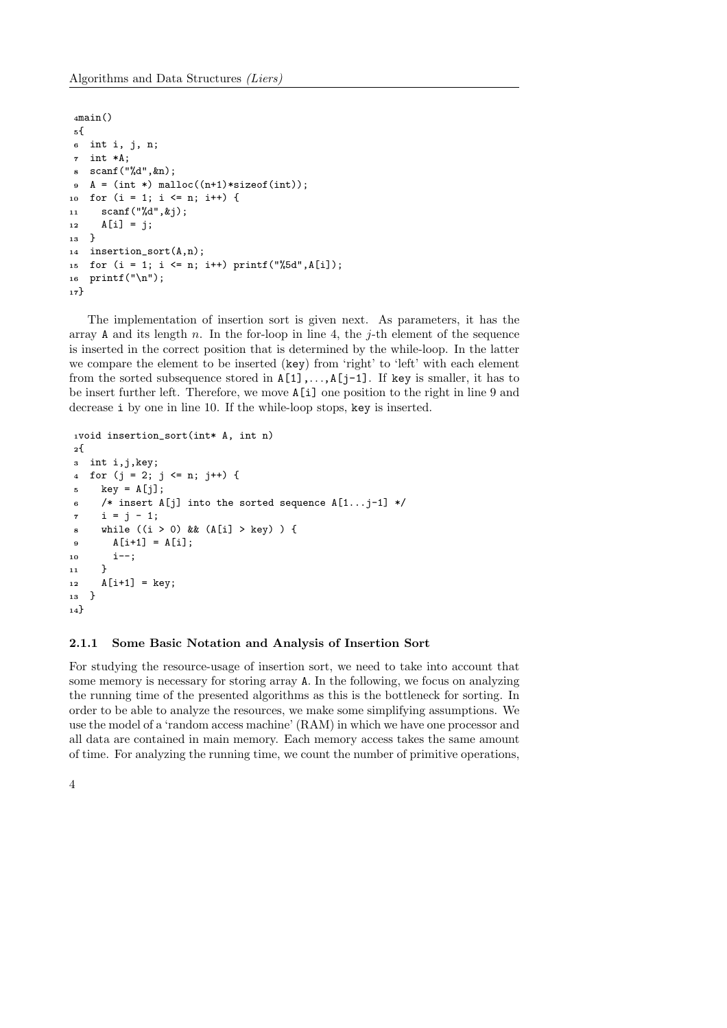```
4main()5{
6 int i, j, n;
7 int *A;
8 scanf("%d",&n);
9 \text{ A} = (\text{int}*) \text{ malloc}((n+1)*sizeof(int));10 for (i = 1; i \le n; i++) {
11 scanf("%d",&j);
12 \qquad A[i] = j;13 }
14 insertion_sort(A,n);
15 for (i = 1; i \le n; i++) printf("%5d", A[i]);
16 printf("\n");
17}
```
The implementation of insertion sort is given next. As parameters, it has the array A and its length n. In the for-loop in line 4, the j-th element of the sequence is inserted in the correct position that is determined by the while-loop. In the latter we compare the element to be inserted (key) from 'right' to 'left' with each element from the sorted subsequence stored in  $A[1], \ldots, A[j-1]$ . If key is smaller, it has to be insert further left. Therefore, we move A[i] one position to the right in line 9 and decrease i by one in line 10. If the while-loop stops, key is inserted.

```
1void insertion_sort(int* A, int n)
2{
3 int i,j,key;
4 for (i = 2; j \le n; j++) {
s key = A[j];6 /* insert A[j] into the sorted sequence A[1\ldots j-1] */
7 \quad i = j - 1;s while ((i > 0) & (A[i] > key)) {
9 A[i+1] = A[i];10 i--;
11 }
12 \qquad A[i+1] = \text{key};13 }
14}
```
#### 2.1.1 Some Basic Notation and Analysis of Insertion Sort

For studying the resource-usage of insertion sort, we need to take into account that some memory is necessary for storing array A. In the following, we focus on analyzing the running time of the presented algorithms as this is the bottleneck for sorting. In order to be able to analyze the resources, we make some simplifying assumptions. We use the model of a 'random access machine' (RAM) in which we have one processor and all data are contained in main memory. Each memory access takes the same amount of time. For analyzing the running time, we count the number of primitive operations,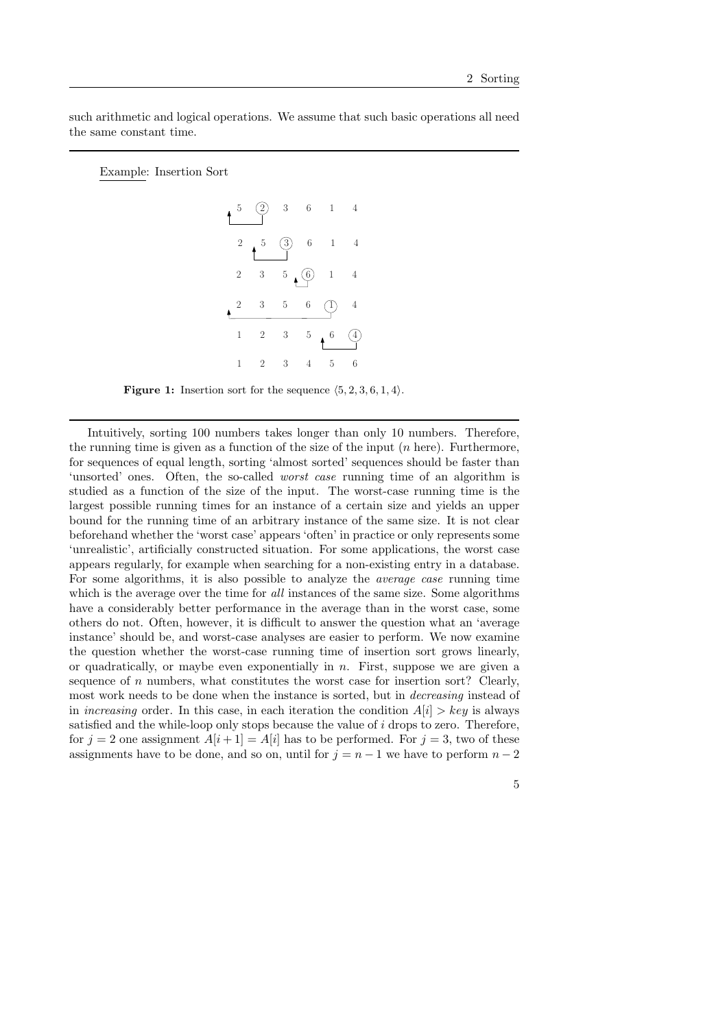such arithmetic and logical operations. We assume that such basic operations all need the same constant time.

Example: Insertion Sort

|                         |                | $\begin{pmatrix} 2 & 3 & 6 \end{pmatrix}$ |                                                                  | $\overline{1}$                    | $\overline{4}$           |
|-------------------------|----------------|-------------------------------------------|------------------------------------------------------------------|-----------------------------------|--------------------------|
| $\sqrt{2}$              | $\frac{5}{1}$  |                                           | $\begin{array}{cccc} \textcircled{3} & 6 & 1 & 4 \\ \end{array}$ |                                   |                          |
| $\overline{\mathbf{c}}$ | 3 <sup>1</sup> | $\sqrt{5}$                                | $\begin{pmatrix} 6 & 1 & 4 \end{pmatrix}$                        |                                   |                          |
|                         | 3              | $\overline{5}$                            | $6\,$                                                            | $\bigcirc \!\! \! \! \! \bigcirc$ | $\overline{\mathcal{L}}$ |
| 1                       | $\overline{2}$ | 3 <sup>7</sup>                            | $5^{\circ}$                                                      | $\sqrt{6}$                        | $\mathcal{L}$            |
| 1                       | $\overline{2}$ | 3                                         | 4                                                                | 5                                 | 6                        |

Figure 1: Insertion sort for the sequence  $\langle 5, 2, 3, 6, 1, 4 \rangle$ .

Intuitively, sorting 100 numbers takes longer than only 10 numbers. Therefore, the running time is given as a function of the size of the input  $(n \text{ here})$ . Furthermore, for sequences of equal length, sorting 'almost sorted' sequences should be faster than 'unsorted' ones. Often, the so-called *worst case* running time of an algorithm is studied as a function of the size of the input. The worst-case running time is the largest possible running times for an instance of a certain size and yields an upper bound for the running time of an arbitrary instance of the same size. It is not clear beforehand whether the 'worst case' appears 'often' in practice or only represents some 'unrealistic', artificially constructed situation. For some applications, the worst case appears regularly, for example when searching for a non-existing entry in a database. For some algorithms, it is also possible to analyze the *average case* running time which is the average over the time for *all* instances of the same size. Some algorithms have a considerably better performance in the average than in the worst case, some others do not. Often, however, it is difficult to answer the question what an 'average instance' should be, and worst-case analyses are easier to perform. We now examine the question whether the worst-case running time of insertion sort grows linearly, or quadratically, or maybe even exponentially in  $n$ . First, suppose we are given a sequence of  $n$  numbers, what constitutes the worst case for insertion sort? Clearly, most work needs to be done when the instance is sorted, but in *decreasing* instead of in *increasing* order. In this case, in each iteration the condition  $A[i] > key$  is always satisfied and the while-loop only stops because the value of  $i$  drops to zero. Therefore, for  $j = 2$  one assignment  $A[i+1] = A[i]$  has to be performed. For  $j = 3$ , two of these assignments have to be done, and so on, until for  $j = n - 1$  we have to perform  $n - 2$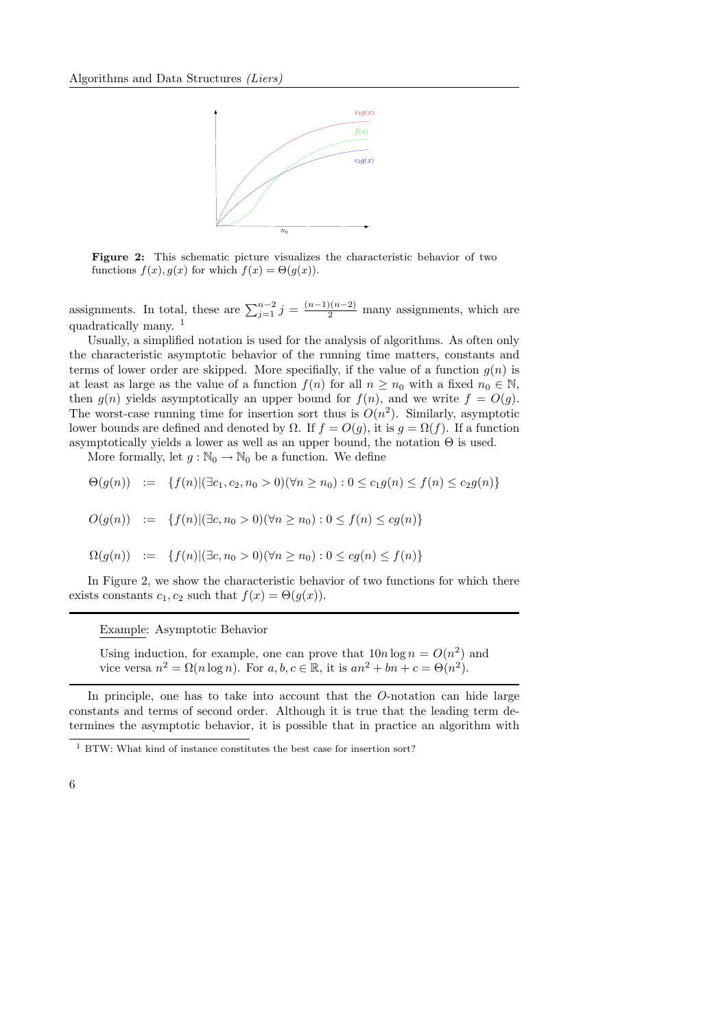

Figure 2: This schematic picture visualizes the characteristic behavior of two functions  $f(x)$ ,  $q(x)$  for which  $f(x) = \Theta(q(x))$ .

assignments. In total, these are  $\sum_{j=1}^{n-2} j = \frac{(n-1)(n-2)}{2}$  many assignments, which are quadratically many. <sup>1</sup>

Usually, a simplified notation is used for the analysis of algorithms. As often only the characteristic asymptotic behavior of the running time matters, constants and terms of lower order are skipped. More specifially, if the value of a function  $q(n)$  is at least as large as the value of a function  $f(n)$  for all  $n \geq n_0$  with a fixed  $n_0 \in \mathbb{N}$ , then  $g(n)$  yields asymptotically an upper bound for  $f(n)$ , and we write  $f = O(g)$ . The worst-case running time for insertion sort thus is  $O(n^2)$ . Similarly, asymptotic lower bounds are defined and denoted by  $\Omega$ . If  $f = O(q)$ , it is  $q = \Omega(f)$ . If a function asymptotically yields a lower as well as an upper bound, the notation  $\Theta$  is used.

More formally, let  $g : \mathbb{N}_0 \to \mathbb{N}_0$  be a function. We define

$$
\Theta(g(n)) := \{ f(n) | (\exists c_1, c_2, n_0 > 0) (\forall n \ge n_0) : 0 \le c_1 g(n) \le f(n) \le c_2 g(n) \}
$$
  

$$
O(g(n)) := \{ f(n) | (\exists c, n_0 > 0) (\forall n \ge n_0) : 0 \le f(n) \le c g(n) \}
$$

$$
\Omega(g(n)) := \{ f(n) | (\exists c, n_0 > 0) (\forall n \ge n_0) : 0 \le cg(n) \le f(n) \}
$$

In Figure 2, we show the characteristic behavior of two functions for which there exists constants  $c_1, c_2$  such that  $f(x) = \Theta(g(x)).$ 

Example: Asymptotic Behavior

Using induction, for example, one can prove that  $10n \log n = O(n^2)$  and vice versa  $n^2 = \Omega(n \log n)$ . For  $a, b, c \in \mathbb{R}$ , it is  $an^2 + bn + c = \Theta(n^2)$ .

In principle, one has to take into account that the O-notation can hide large constants and terms of second order. Although it is true that the leading term determines the asymptotic behavior, it is possible that in practice an algorithm with

 $^{\rm 1}$  BTW: What kind of instance constitutes the best case for insertion sort?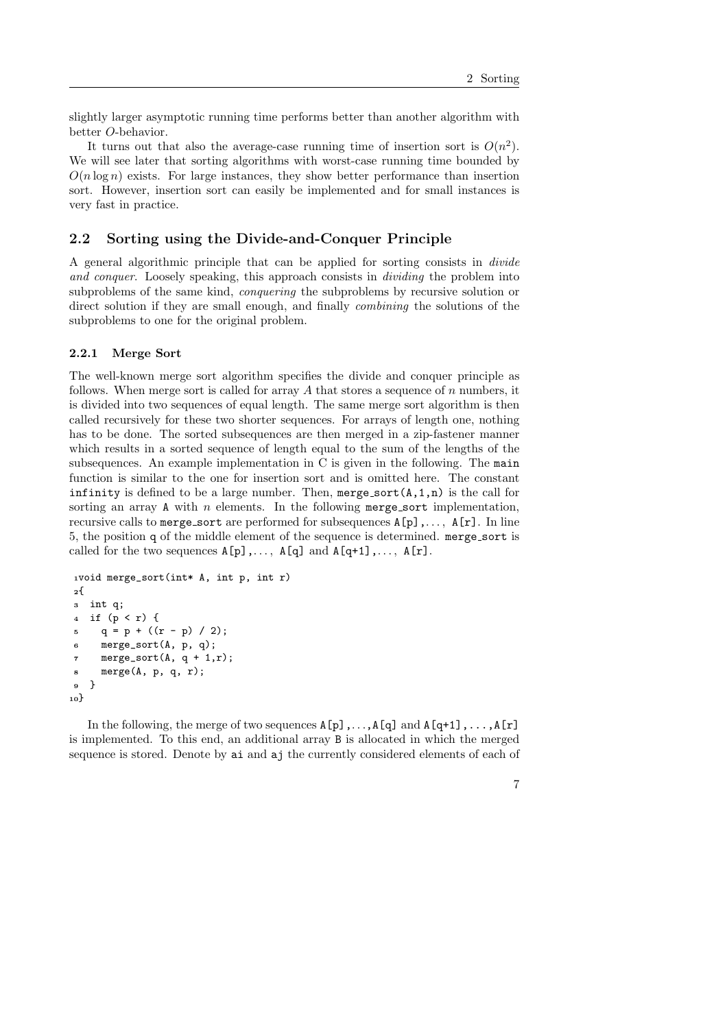slightly larger asymptotic running time performs better than another algorithm with better O-behavior.

It turns out that also the average-case running time of insertion sort is  $O(n^2)$ . We will see later that sorting algorithms with worst-case running time bounded by  $O(n \log n)$  exists. For large instances, they show better performance than insertion sort. However, insertion sort can easily be implemented and for small instances is very fast in practice.

### 2.2 Sorting using the Divide-and-Conquer Principle

A general algorithmic principle that can be applied for sorting consists in *divide and conquer*. Loosely speaking, this approach consists in *dividing* the problem into subproblems of the same kind, *conquering* the subproblems by recursive solution or direct solution if they are small enough, and finally *combining* the solutions of the subproblems to one for the original problem.

#### 2.2.1 Merge Sort

The well-known merge sort algorithm specifies the divide and conquer principle as follows. When merge sort is called for array  $A$  that stores a sequence of  $n$  numbers, it is divided into two sequences of equal length. The same merge sort algorithm is then called recursively for these two shorter sequences. For arrays of length one, nothing has to be done. The sorted subsequences are then merged in a zip-fastener manner which results in a sorted sequence of length equal to the sum of the lengths of the subsequences. An example implementation in C is given in the following. The main function is similar to the one for insertion sort and is omitted here. The constant infinity is defined to be a large number. Then,  $merge\_sort(A,1,n)$  is the call for sorting an array A with  $n$  elements. In the following merge sort implementation, recursive calls to merge sort are performed for subsequences A[p],... , A[r]. In line 5, the position q of the middle element of the sequence is determined. merge sort is called for the two sequences  $A[p], \ldots, A[q]$  and  $A[q+1], \ldots, A[r]$ .

```
1void merge_sort(int* A, int p, int r)
2^{5}3 int q;
4 if (p < r) {
5 \t q = p + ((r - p) / 2);6 merge_sort(A, p, q);
\tau merge_sort(A, q + 1,r);
8 merge(A, p, q, r);
9 }
10}
```
In the following, the merge of two sequences  $A[p]$ ,..., $A[q]$  and  $A[q+1]$ ,..., $A[r]$ is implemented. To this end, an additional array B is allocated in which the merged sequence is stored. Denote by ai and aj the currently considered elements of each of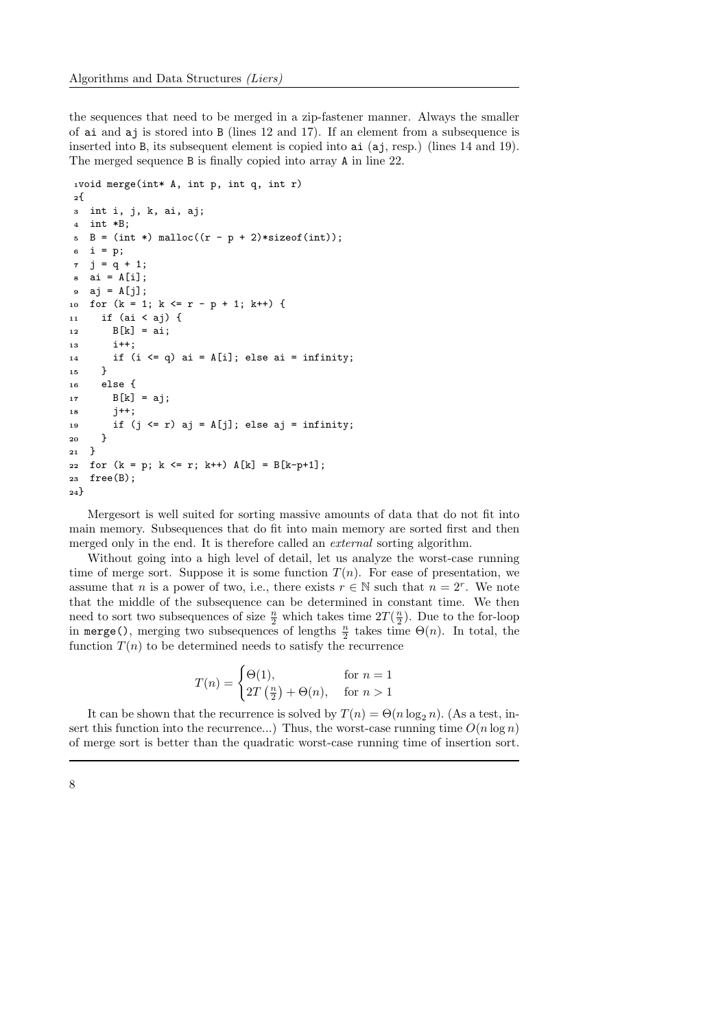the sequences that need to be merged in a zip-fastener manner. Always the smaller of ai and aj is stored into B (lines 12 and 17). If an element from a subsequence is inserted into B, its subsequent element is copied into ai (aj, resp.) (lines 14 and 19). The merged sequence B is finally copied into array A in line 22.

```
1void merge(int* A, int p, int q, int r)
2{
3 int i, j, k, ai, aj;
\alpha int *B:
5 B = (int * ) <math>malloc((r - p + 2) * sizeof(int));</math>6 i = p;
7 \text{ } j = q + 1;s ai = A[i];
9 aj = A[j];
10 for (k = 1; k \le r - p + 1; k++) {
11 if (ai < aj) {
12 B[k] = ai;
13 i++;
14 if (i \leq q) ai = A[i]; else ai = infinity;
15 - \lambda16 else {
17 B[k] = ai;
18 1+1;
19 if (j \le r) aj = A[j]; else aj = infinity;
20 }
21 }
22 for (k = p; k \le r; k++) A[k] = B[k-p+1];23 free(B);
24}
```
Mergesort is well suited for sorting massive amounts of data that do not fit into main memory. Subsequences that do fit into main memory are sorted first and then merged only in the end. It is therefore called an *external* sorting algorithm.

Without going into a high level of detail, let us analyze the worst-case running time of merge sort. Suppose it is some function  $T(n)$ . For ease of presentation, we assume that *n* is a power of two, i.e., there exists  $r \in \mathbb{N}$  such that  $n = 2^r$ . We note that the middle of the subsequence can be determined in constant time. We then need to sort two subsequences of size  $\frac{n}{2}$  which takes time  $2T(\frac{n}{2})$ . Due to the for-loop in merge(), merging two subsequences of lengths  $\frac{n}{2}$  takes time  $\Theta(n)$ . In total, the function  $T(n)$  to be determined needs to satisfy the recurrence

$$
T(n) = \begin{cases} \Theta(1), & \text{for } n = 1\\ 2T\left(\frac{n}{2}\right) + \Theta(n), & \text{for } n > 1 \end{cases}
$$

It can be shown that the recurrence is solved by  $T(n) = \Theta(n \log_2 n)$ . (As a test, insert this function into the recurrence...) Thus, the worst-case running time  $O(n \log n)$ of merge sort is better than the quadratic worst-case running time of insertion sort.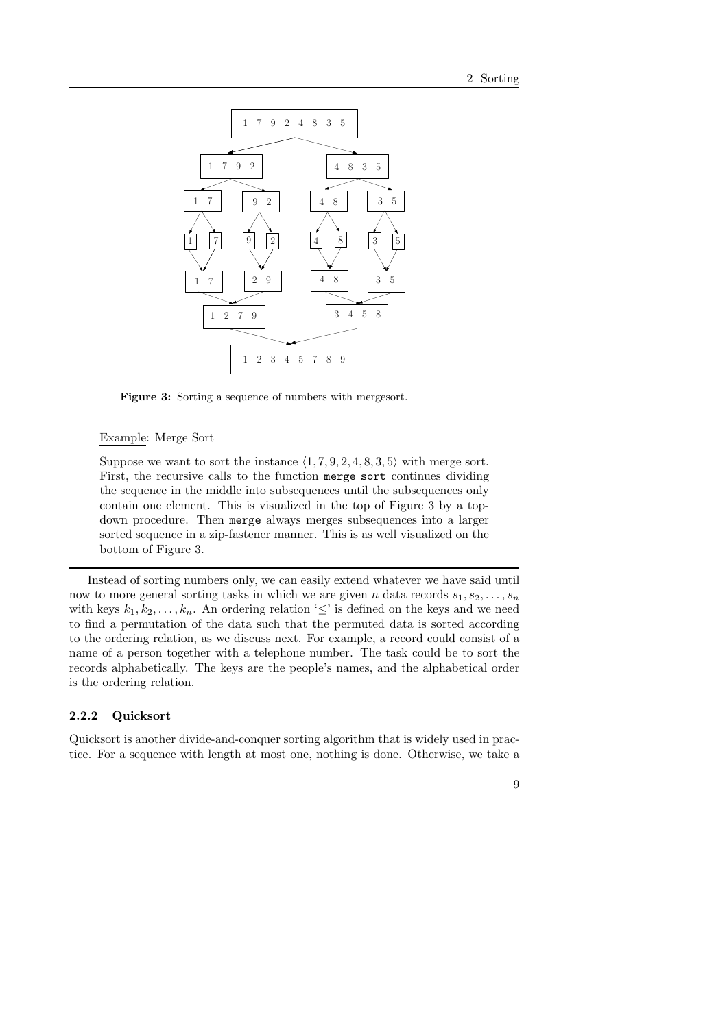

Figure 3: Sorting a sequence of numbers with mergesort.

#### Example: Merge Sort

Suppose we want to sort the instance  $\langle 1, 7, 9, 2, 4, 8, 3, 5 \rangle$  with merge sort. First, the recursive calls to the function merge sort continues dividing the sequence in the middle into subsequences until the subsequences only contain one element. This is visualized in the top of Figure 3 by a topdown procedure. Then merge always merges subsequences into a larger sorted sequence in a zip-fastener manner. This is as well visualized on the bottom of Figure 3.

Instead of sorting numbers only, we can easily extend whatever we have said until now to more general sorting tasks in which we are given n data records  $s_1, s_2, \ldots, s_n$ with keys  $k_1, k_2, \ldots, k_n$ . An ordering relation ' $\leq$ ' is defined on the keys and we need to find a permutation of the data such that the permuted data is sorted according to the ordering relation, as we discuss next. For example, a record could consist of a name of a person together with a telephone number. The task could be to sort the records alphabetically. The keys are the people's names, and the alphabetical order is the ordering relation.

### 2.2.2 Quicksort

Quicksort is another divide-and-conquer sorting algorithm that is widely used in practice. For a sequence with length at most one, nothing is done. Otherwise, we take a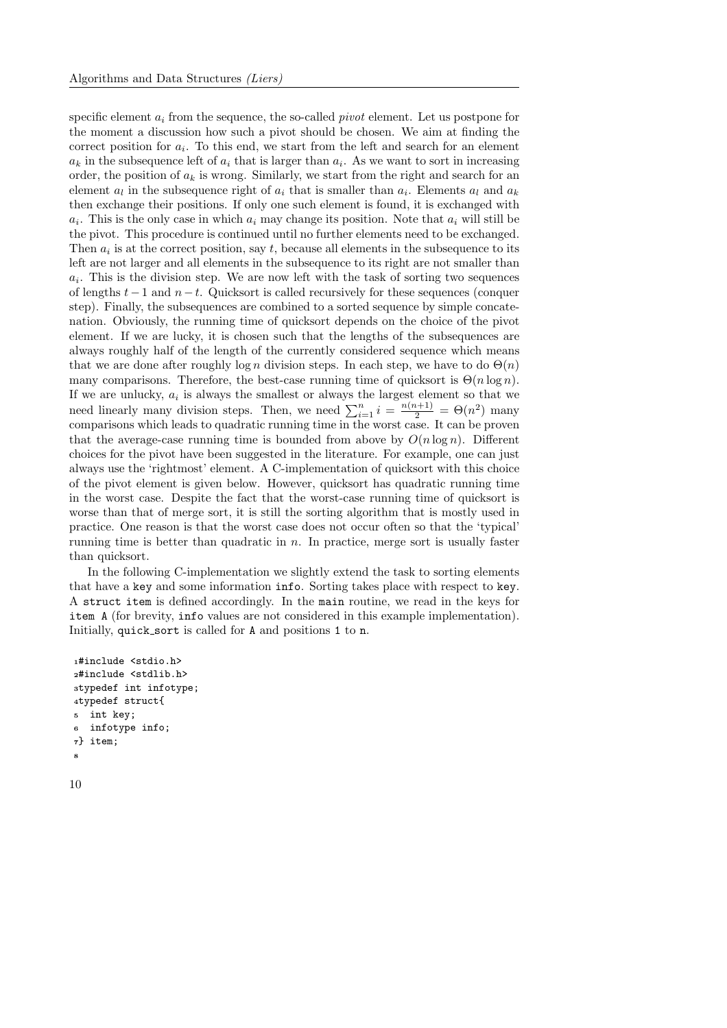specific element a<sup>i</sup> from the sequence, the so-called *pivot* element. Let us postpone for the moment a discussion how such a pivot should be chosen. We aim at finding the correct position for  $a_i$ . To this end, we start from the left and search for an element  $a_k$  in the subsequence left of  $a_i$  that is larger than  $a_i$ . As we want to sort in increasing order, the position of  $a_k$  is wrong. Similarly, we start from the right and search for an element  $a_l$  in the subsequence right of  $a_i$  that is smaller than  $a_i$ . Elements  $a_l$  and  $a_k$ then exchange their positions. If only one such element is found, it is exchanged with  $a_i$ . This is the only case in which  $a_i$  may change its position. Note that  $a_i$  will still be the pivot. This procedure is continued until no further elements need to be exchanged. Then  $a_i$  is at the correct position, say t, because all elements in the subsequence to its left are not larger and all elements in the subsequence to its right are not smaller than  $a_i$ . This is the division step. We are now left with the task of sorting two sequences of lengths  $t-1$  and  $n-t$ . Quicksort is called recursively for these sequences (conquer step). Finally, the subsequences are combined to a sorted sequence by simple concatenation. Obviously, the running time of quicksort depends on the choice of the pivot element. If we are lucky, it is chosen such that the lengths of the subsequences are always roughly half of the length of the currently considered sequence which means that we are done after roughly  $\log n$  division steps. In each step, we have to do  $\Theta(n)$ many comparisons. Therefore, the best-case running time of quicksort is  $\Theta(n \log n)$ . If we are unlucky,  $a_i$  is always the smallest or always the largest element so that we need linearly many division steps. Then, we need  $\sum_{i=1}^{n} i = \frac{n(n+1)}{2} = \Theta(n^2)$  many comparisons which leads to quadratic running time in the worst case. It can be proven that the average-case running time is bounded from above by  $O(n \log n)$ . Different choices for the pivot have been suggested in the literature. For example, one can just always use the 'rightmost' element. A C-implementation of quicksort with this choice of the pivot element is given below. However, quicksort has quadratic running time in the worst case. Despite the fact that the worst-case running time of quicksort is worse than that of merge sort, it is still the sorting algorithm that is mostly used in practice. One reason is that the worst case does not occur often so that the 'typical' running time is better than quadratic in  $n$ . In practice, merge sort is usually faster than quicksort.

In the following C-implementation we slightly extend the task to sorting elements that have a key and some information info. Sorting takes place with respect to key. A struct item is defined accordingly. In the main routine, we read in the keys for item A (for brevity, info values are not considered in this example implementation). Initially, quick sort is called for A and positions 1 to n.

```
1#include <stdio.h>
2#include <stdlib.h>
3typedef int infotype;
4typedef struct{
5 int key;
6 infotype info;
7} item;
8
```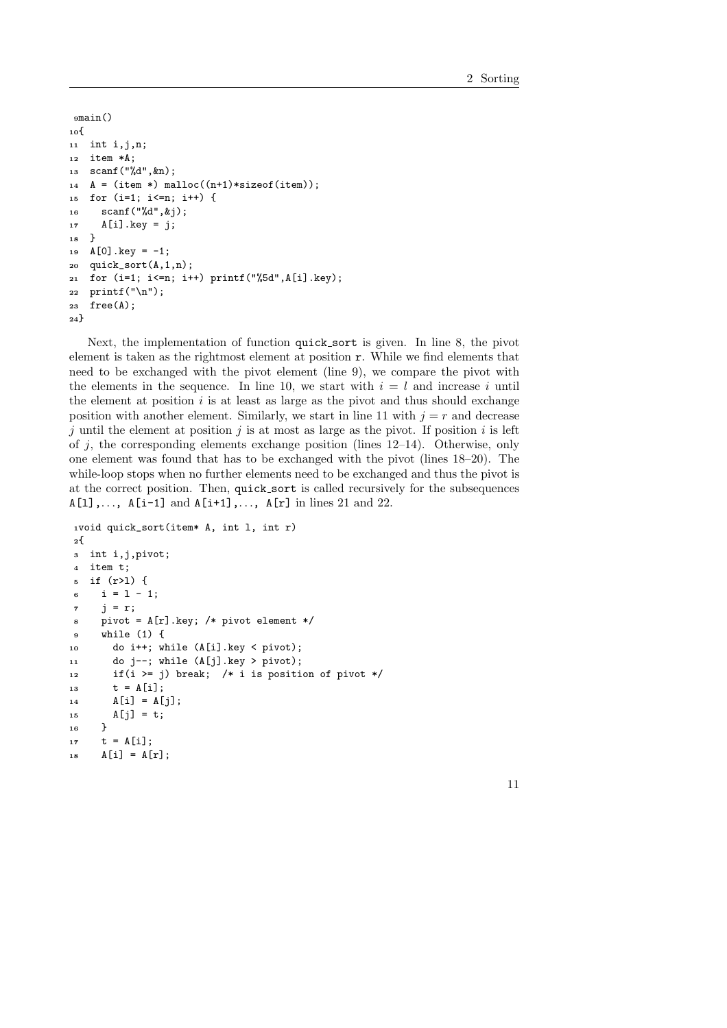```
g_{\text{main}}(10^{15}11 int i,j,n;
12 item *A;
13 scanf("%d",&n);
14 A = (item *) malloc((n+1)*sizeof(item));
15 for (i=1; i<=n; i++) {
16 scanf("%d",&j);
17 A[i].key = j;<br>18 }
18 }
19 \text{ A}[0].key = -1;
20 quick_sort(A,1,n);21 for (i=1; i<=n; i++) printf("%5d",A[i].key);
22 printf("\langle"\rangle;
23 free(A);
24}
```
Next, the implementation of function quick sort is given. In line 8, the pivot element is taken as the rightmost element at position r. While we find elements that need to be exchanged with the pivot element (line 9), we compare the pivot with the elements in the sequence. In line 10, we start with  $i = l$  and increase i until the element at position  $i$  is at least as large as the pivot and thus should exchange position with another element. Similarly, we start in line 11 with  $j = r$  and decrease j until the element at position j is at most as large as the pivot. If position  $i$  is left of j, the corresponding elements exchange position (lines  $12-14$ ). Otherwise, only one element was found that has to be exchanged with the pivot (lines 18–20). The while-loop stops when no further elements need to be exchanged and thus the pivot is at the correct position. Then, quick sort is called recursively for the subsequences  $A[1], \ldots, A[i-1]$  and  $A[i+1], \ldots, A[r]$  in lines 21 and 22.

```
1void quick_sort(item* A, int l, int r)
2{
3 int i,j,pivot;
4 item t;
5 if (r>l) {
6 i = 1 - 1;
7 \quad j = r;s pivot = A[r].key; /* pivot element */
9 while (1) {
10 do i++; while (A[i].key < pivot);
11 do j--; while (A[j].key > pivot);
12 if(i >= j) break; /* i is position of pivot */
13 t = A[i];14 A[i] = A[j];15 A[j] = t;16 }
17 t = A[i];
18 A[i] = A[r];
```

```
11
```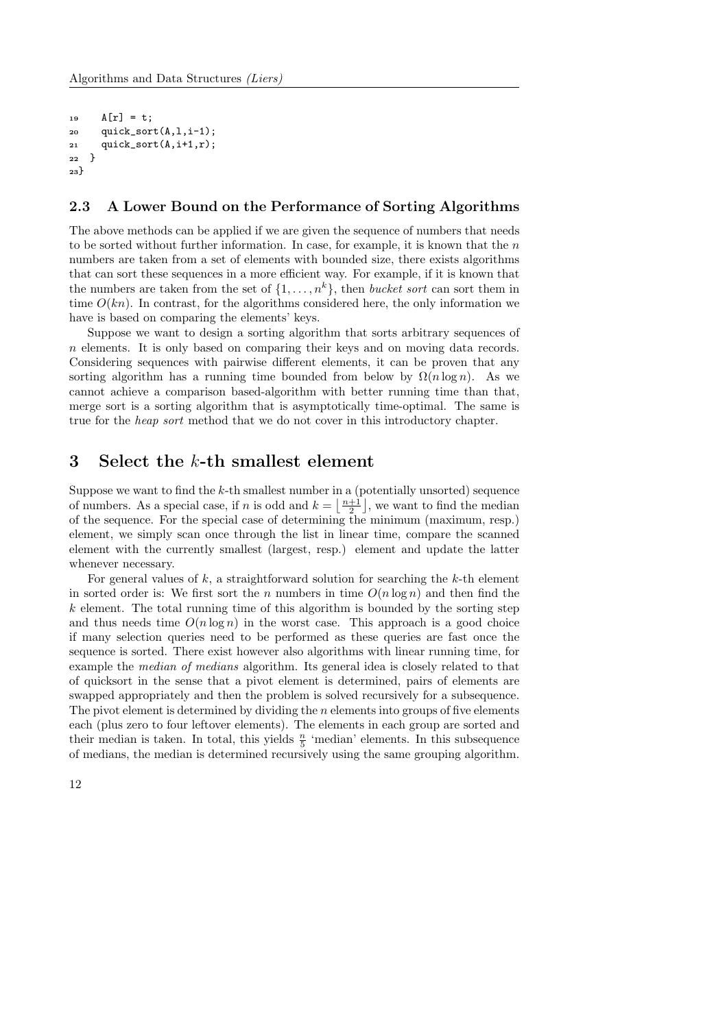```
19 \text{ A}[r] = t;20 quick_sort(A,1,i-1);21 quick_sort(A,i+1,r);
22 \}23}
```
### 2.3 A Lower Bound on the Performance of Sorting Algorithms

The above methods can be applied if we are given the sequence of numbers that needs to be sorted without further information. In case, for example, it is known that the  $n$ numbers are taken from a set of elements with bounded size, there exists algorithms that can sort these sequences in a more efficient way. For example, if it is known that the numbers are taken from the set of  $\{1,\ldots,n^k\}$ , then *bucket sort* can sort them in time  $O(kn)$ . In contrast, for the algorithms considered here, the only information we have is based on comparing the elements' keys.

Suppose we want to design a sorting algorithm that sorts arbitrary sequences of n elements. It is only based on comparing their keys and on moving data records. Considering sequences with pairwise different elements, it can be proven that any sorting algorithm has a running time bounded from below by  $\Omega(n \log n)$ . As we cannot achieve a comparison based-algorithm with better running time than that, merge sort is a sorting algorithm that is asymptotically time-optimal. The same is true for the *heap sort* method that we do not cover in this introductory chapter.

## 3 Select the k-th smallest element

Suppose we want to find the  $k$ -th smallest number in a (potentially unsorted) sequence of numbers. As a special case, if n is odd and  $k = \lfloor \frac{n+1}{2} \rfloor$ , we want to find the median of the sequence. For the special case of determining the minimum (maximum, resp.) element, we simply scan once through the list in linear time, compare the scanned element with the currently smallest (largest, resp.) element and update the latter whenever necessary.

For general values of  $k$ , a straightforward solution for searching the  $k$ -th element in sorted order is: We first sort the n numbers in time  $O(n \log n)$  and then find the  $k$  element. The total running time of this algorithm is bounded by the sorting step and thus needs time  $O(n \log n)$  in the worst case. This approach is a good choice if many selection queries need to be performed as these queries are fast once the sequence is sorted. There exist however also algorithms with linear running time, for example the *median of medians* algorithm. Its general idea is closely related to that of quicksort in the sense that a pivot element is determined, pairs of elements are swapped appropriately and then the problem is solved recursively for a subsequence. The pivot element is determined by dividing the  $n$  elements into groups of five elements each (plus zero to four leftover elements). The elements in each group are sorted and their median is taken. In total, this yields  $\frac{n}{5}$  'median' elements. In this subsequence of medians, the median is determined recursively using the same grouping algorithm.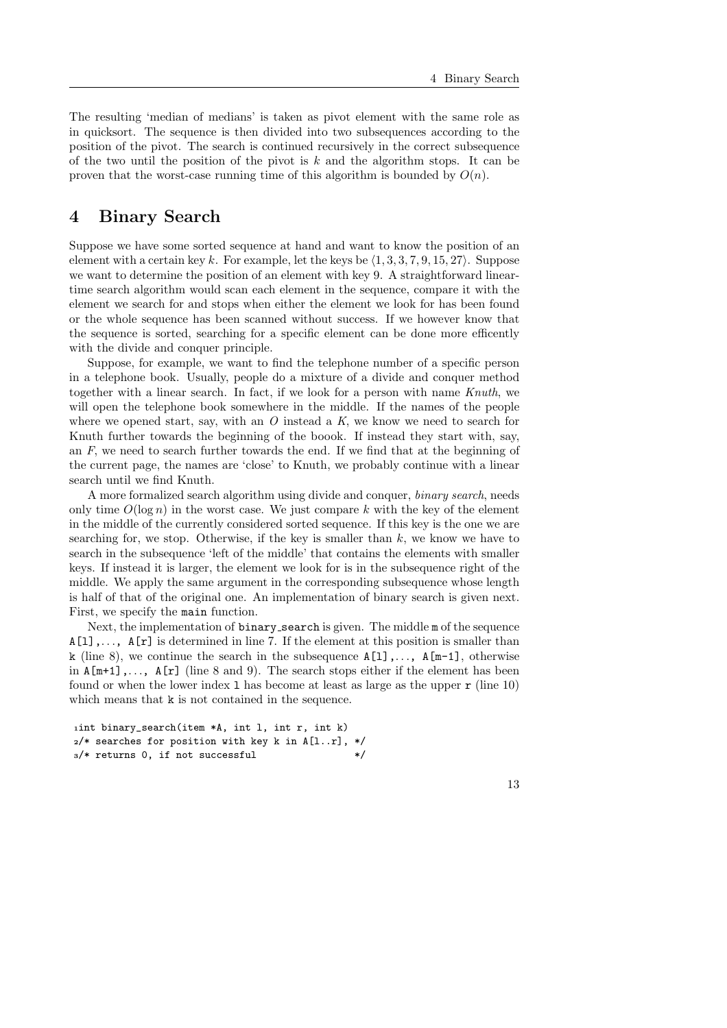The resulting 'median of medians' is taken as pivot element with the same role as in quicksort. The sequence is then divided into two subsequences according to the position of the pivot. The search is continued recursively in the correct subsequence of the two until the position of the pivot is  $k$  and the algorithm stops. It can be proven that the worst-case running time of this algorithm is bounded by  $O(n)$ .

### 4 Binary Search

Suppose we have some sorted sequence at hand and want to know the position of an element with a certain key k. For example, let the keys be  $\langle 1, 3, 3, 7, 9, 15, 27 \rangle$ . Suppose we want to determine the position of an element with key 9. A straightforward lineartime search algorithm would scan each element in the sequence, compare it with the element we search for and stops when either the element we look for has been found or the whole sequence has been scanned without success. If we however know that the sequence is sorted, searching for a specific element can be done more efficently with the divide and conquer principle.

Suppose, for example, we want to find the telephone number of a specific person in a telephone book. Usually, people do a mixture of a divide and conquer method together with a linear search. In fact, if we look for a person with name *Knuth*, we will open the telephone book somewhere in the middle. If the names of the people where we opened start, say, with an *O* instead a *K*, we know we need to search for Knuth further towards the beginning of the boook. If instead they start with, say, an *F*, we need to search further towards the end. If we find that at the beginning of the current page, the names are 'close' to Knuth, we probably continue with a linear search until we find Knuth.

A more formalized search algorithm using divide and conquer, *binary search*, needs only time  $O(\log n)$  in the worst case. We just compare k with the key of the element in the middle of the currently considered sorted sequence. If this key is the one we are searching for, we stop. Otherwise, if the key is smaller than  $k$ , we know we have to search in the subsequence 'left of the middle' that contains the elements with smaller keys. If instead it is larger, the element we look for is in the subsequence right of the middle. We apply the same argument in the corresponding subsequence whose length is half of that of the original one. An implementation of binary search is given next. First, we specify the main function.

Next, the implementation of binary search is given. The middle m of the sequence  $A[1], \ldots, A[r]$  is determined in line 7. If the element at this position is smaller than k (line 8), we continue the search in the subsequence  $A[1], \ldots, A[m-1]$ , otherwise in  $A[\mathbb{m+1}]$ ,...,  $A[\mathbf{r}]$  (line 8 and 9). The search stops either if the element has been found or when the lower index 1 has become at least as large as the upper  $r$  (line 10) which means that  $k$  is not contained in the sequence.

```
1int binary_search(item *A, int l, int r, int k)
2/* searches for position with key k in A[1..r], */
3/* returns 0, if not successful */
```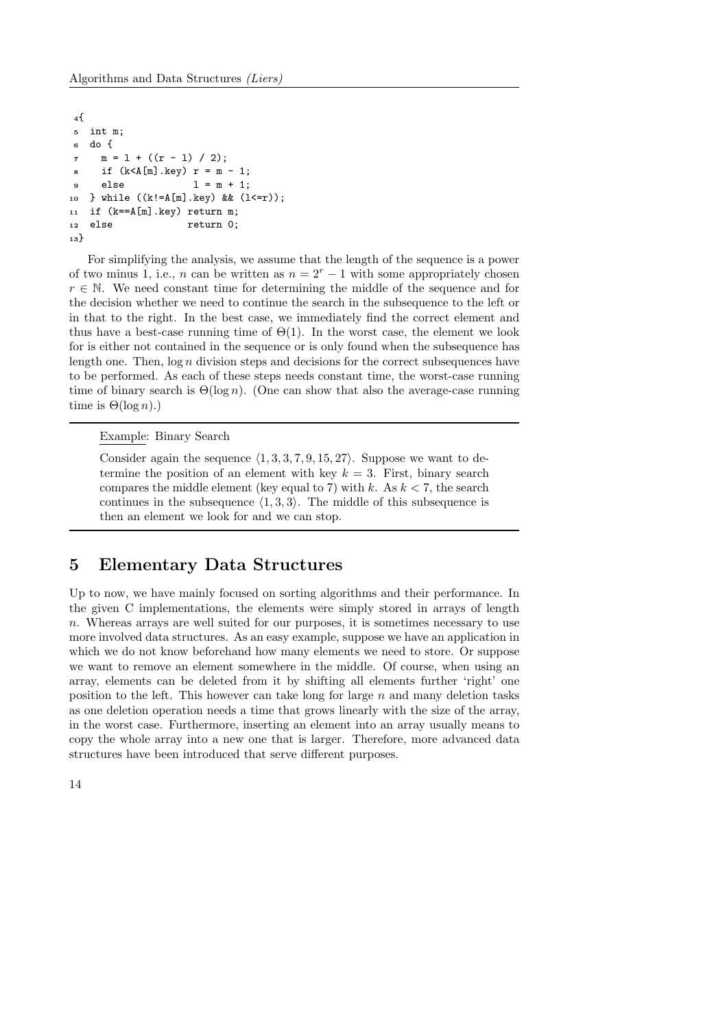```
4{
5 int m;
6 do {
\tau m = 1 + ((r - 1) / 2);
\sin if (k < A[m].key) r = m - 1;
9 \text{ else } 1 = m + 1;
10 } while ((k!=A[m].key) && (l<=r));
11 if (k==A[m].key) return m;
12 else return 0;
13}
```
For simplifying the analysis, we assume that the length of the sequence is a power of two minus 1, i.e., *n* can be written as  $n = 2<sup>r</sup> - 1$  with some appropriately chosen  $r \in \mathbb{N}$ . We need constant time for determining the middle of the sequence and for the decision whether we need to continue the search in the subsequence to the left or in that to the right. In the best case, we immediately find the correct element and thus have a best-case running time of  $\Theta(1)$ . In the worst case, the element we look for is either not contained in the sequence or is only found when the subsequence has length one. Then,  $\log n$  division steps and decisions for the correct subsequences have to be performed. As each of these steps needs constant time, the worst-case running time of binary search is  $\Theta(\log n)$ . (One can show that also the average-case running time is  $\Theta(\log n)$ .)

Example: Binary Search

Consider again the sequence  $\langle 1, 3, 3, 7, 9, 15, 27 \rangle$ . Suppose we want to determine the position of an element with key  $k = 3$ . First, binary search compares the middle element (key equal to 7) with k. As  $k < 7$ , the search continues in the subsequence  $\langle 1, 3, 3 \rangle$ . The middle of this subsequence is then an element we look for and we can stop.

### 5 Elementary Data Structures

Up to now, we have mainly focused on sorting algorithms and their performance. In the given C implementations, the elements were simply stored in arrays of length n. Whereas arrays are well suited for our purposes, it is sometimes necessary to use more involved data structures. As an easy example, suppose we have an application in which we do not know beforehand how many elements we need to store. Or suppose we want to remove an element somewhere in the middle. Of course, when using an array, elements can be deleted from it by shifting all elements further 'right' one position to the left. This however can take long for large  $n$  and many deletion tasks as one deletion operation needs a time that grows linearly with the size of the array, in the worst case. Furthermore, inserting an element into an array usually means to copy the whole array into a new one that is larger. Therefore, more advanced data structures have been introduced that serve different purposes.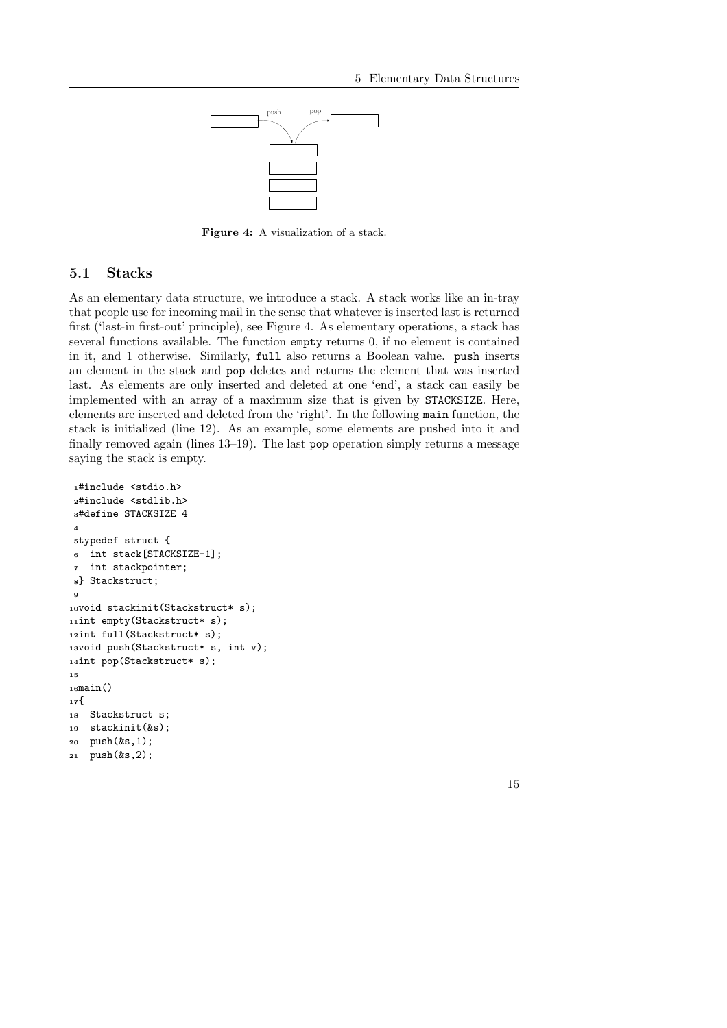

Figure 4: A visualization of a stack.

#### 5.1 Stacks

As an elementary data structure, we introduce a stack. A stack works like an in-tray that people use for incoming mail in the sense that whatever is inserted last is returned first ('last-in first-out' principle), see Figure 4. As elementary operations, a stack has several functions available. The function empty returns 0, if no element is contained in it, and 1 otherwise. Similarly, full also returns a Boolean value. push inserts an element in the stack and pop deletes and returns the element that was inserted last. As elements are only inserted and deleted at one 'end', a stack can easily be implemented with an array of a maximum size that is given by STACKSIZE. Here, elements are inserted and deleted from the 'right'. In the following main function, the stack is initialized (line 12). As an example, some elements are pushed into it and finally removed again (lines 13–19). The last pop operation simply returns a message saying the stack is empty.

```
1#include <stdio.h>
2#include <stdlib.h>
3#define STACKSIZE 4
 4
5typedef struct {
6 int stack[STACKSIZE-1];
7 int stackpointer;
8} Stackstruct;
9
10void stackinit(Stackstruct* s);
11int empty(Stackstruct* s);
12int full(Stackstruct* s);
13void push(Stackstruct* s, int v);
14int pop(Stackstruct* s);
15
16main()
17{
18 Stackstruct s;
19 stackinit(&s);
20 push(&s,1);
21 push(&s,2);
```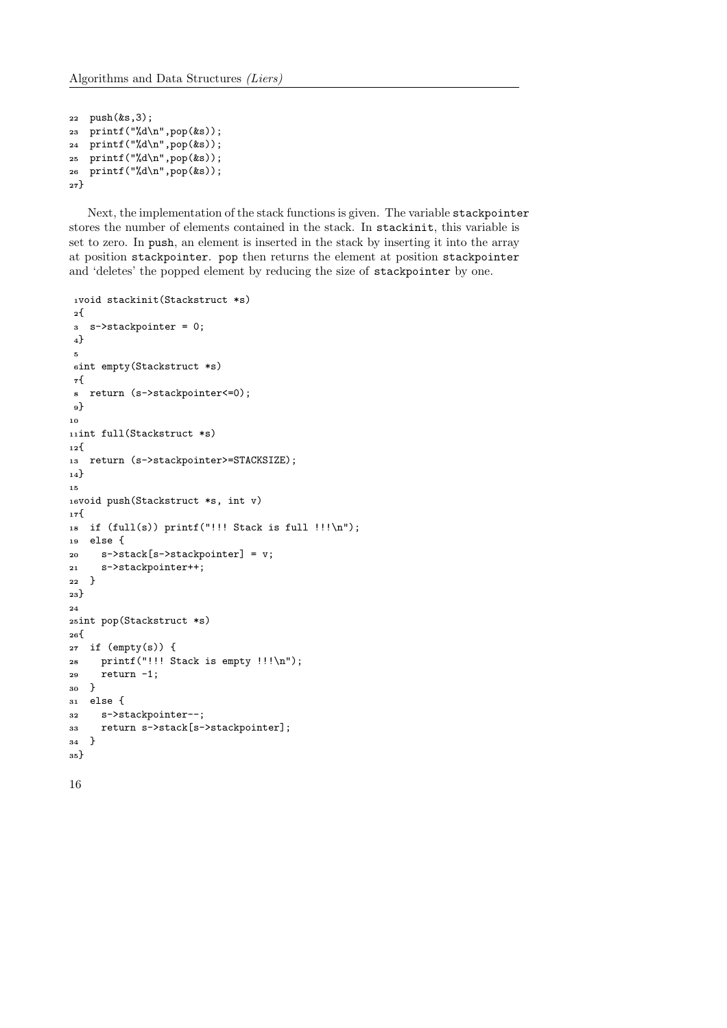```
22 push(ks,3);
23 printf("%d\n",pop(&s));
24 printf("%d\n",pop(&s));
25 printf("%d\n",pop(&s));
26 printf("%d\n",pop(&s));
27}
```
Next, the implementation of the stack functions is given. The variable stackpointer stores the number of elements contained in the stack. In stackinit, this variable is set to zero. In push, an element is inserted in the stack by inserting it into the array at position stackpointer. pop then returns the element at position stackpointer and 'deletes' the popped element by reducing the size of stackpointer by one.

```
1void stackinit(Stackstruct *s)
2{
3 s->stackpointer = 0;
4}
5
6int empty(Stackstruct *s)
7{
8 return (s->stackpointer<=0);
9}
10
11int full(Stackstruct *s)
12{
13 return (s->stackpointer>=STACKSIZE);
14}
15
16void push(Stackstruct *s, int v)
17{
18 if (full(s)) printf("!!! Stack is full !!\n");
19 else {
20 s->stack[s->stackpointer] = v;
21 s->stackpointer++;
22 }
23}
2425int pop(Stackstruct *s)
26{
27 if (empty(s)) {
28 printf("!!! Stack is empty !!!\n");
29 return -1;
30 }
31 else {
32 s->stackpointer--;
33 return s->stack[s->stackpointer];
34 }
35}
```

```
16
```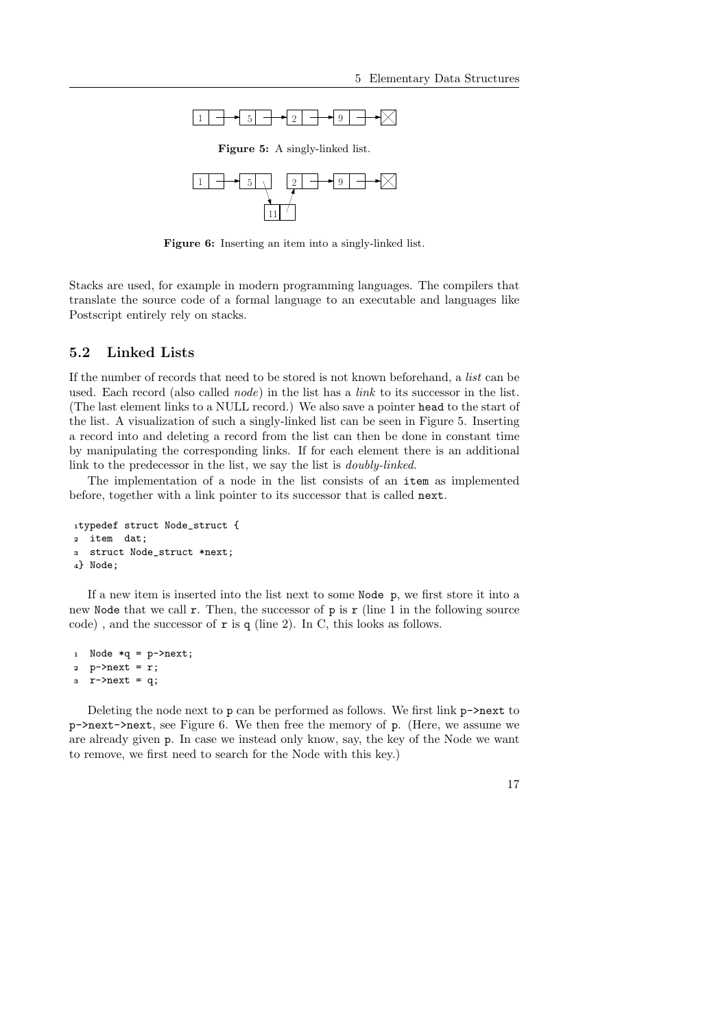

Figure 5: A singly-linked list.



Figure 6: Inserting an item into a singly-linked list.

Stacks are used, for example in modern programming languages. The compilers that translate the source code of a formal language to an executable and languages like Postscript entirely rely on stacks.

### 5.2 Linked Lists

If the number of records that need to be stored is not known beforehand, a *list* can be used. Each record (also called *node*) in the list has a *link* to its successor in the list. (The last element links to a NULL record.) We also save a pointer head to the start of the list. A visualization of such a singly-linked list can be seen in Figure 5. Inserting a record into and deleting a record from the list can then be done in constant time by manipulating the corresponding links. If for each element there is an additional link to the predecessor in the list, we say the list is *doubly-linked*.

The implementation of a node in the list consists of an item as implemented before, together with a link pointer to its successor that is called next.

```
1typedef struct Node_struct {
2 item dat;
3 struct Node_struct *next;
4} Node;
```
If a new item is inserted into the list next to some Node p, we first store it into a new Node that we call  $\mathbf r$ . Then, the successor of  $p$  is  $\mathbf r$  (line 1 in the following source code), and the successor of  $\mathbf r$  is q (line 2). In C, this looks as follows.

```
1 Node *q = p-\text{next};p->next = r;
3 r->next = q;
```
Deleting the node next to p can be performed as follows. We first link p->next to p->next->next, see Figure 6. We then free the memory of p. (Here, we assume we are already given p. In case we instead only know, say, the key of the Node we want to remove, we first need to search for the Node with this key.)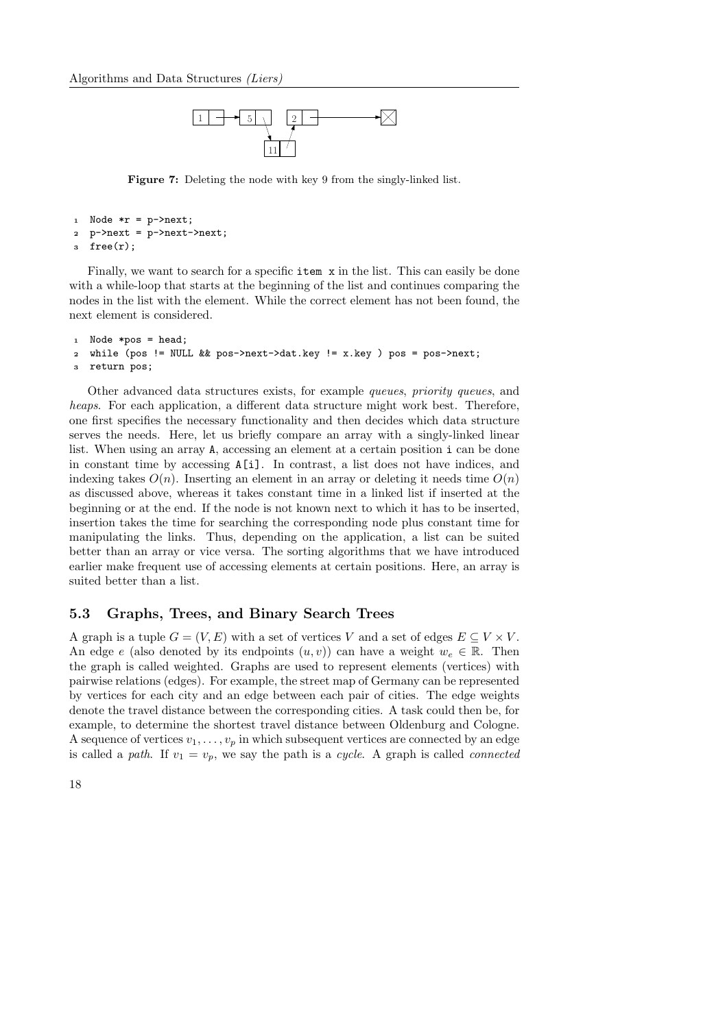

Figure 7: Deleting the node with key 9 from the singly-linked list.

```
1 Node *r = p->next;
```
<sup>2</sup> p->next = p->next->next;

```
3 free(r);
```
Finally, we want to search for a specific item x in the list. This can easily be done with a while-loop that starts at the beginning of the list and continues comparing the nodes in the list with the element. While the correct element has not been found, the next element is considered.

```
1 Node *pos = head;
```
- <sup>2</sup> while (pos != NULL && pos->next->dat.key != x.key ) pos = pos->next;
- <sup>3</sup> return pos;

Other advanced data structures exists, for example *queues*, *priority queues*, and *heaps*. For each application, a different data structure might work best. Therefore, one first specifies the necessary functionality and then decides which data structure serves the needs. Here, let us briefly compare an array with a singly-linked linear list. When using an array A, accessing an element at a certain position i can be done in constant time by accessing A[i]. In contrast, a list does not have indices, and indexing takes  $O(n)$ . Inserting an element in an array or deleting it needs time  $O(n)$ as discussed above, whereas it takes constant time in a linked list if inserted at the beginning or at the end. If the node is not known next to which it has to be inserted, insertion takes the time for searching the corresponding node plus constant time for manipulating the links. Thus, depending on the application, a list can be suited better than an array or vice versa. The sorting algorithms that we have introduced earlier make frequent use of accessing elements at certain positions. Here, an array is suited better than a list.

### 5.3 Graphs, Trees, and Binary Search Trees

A graph is a tuple  $G = (V, E)$  with a set of vertices V and a set of edges  $E \subseteq V \times V$ . An edge e (also denoted by its endpoints  $(u, v)$ ) can have a weight  $w_e \in \mathbb{R}$ . Then the graph is called weighted. Graphs are used to represent elements (vertices) with pairwise relations (edges). For example, the street map of Germany can be represented by vertices for each city and an edge between each pair of cities. The edge weights denote the travel distance between the corresponding cities. A task could then be, for example, to determine the shortest travel distance between Oldenburg and Cologne. A sequence of vertices  $v_1, \ldots, v_p$  in which subsequent vertices are connected by an edge is called a *path*. If  $v_1 = v_p$ , we say the path is a *cycle*. A graph is called *connected*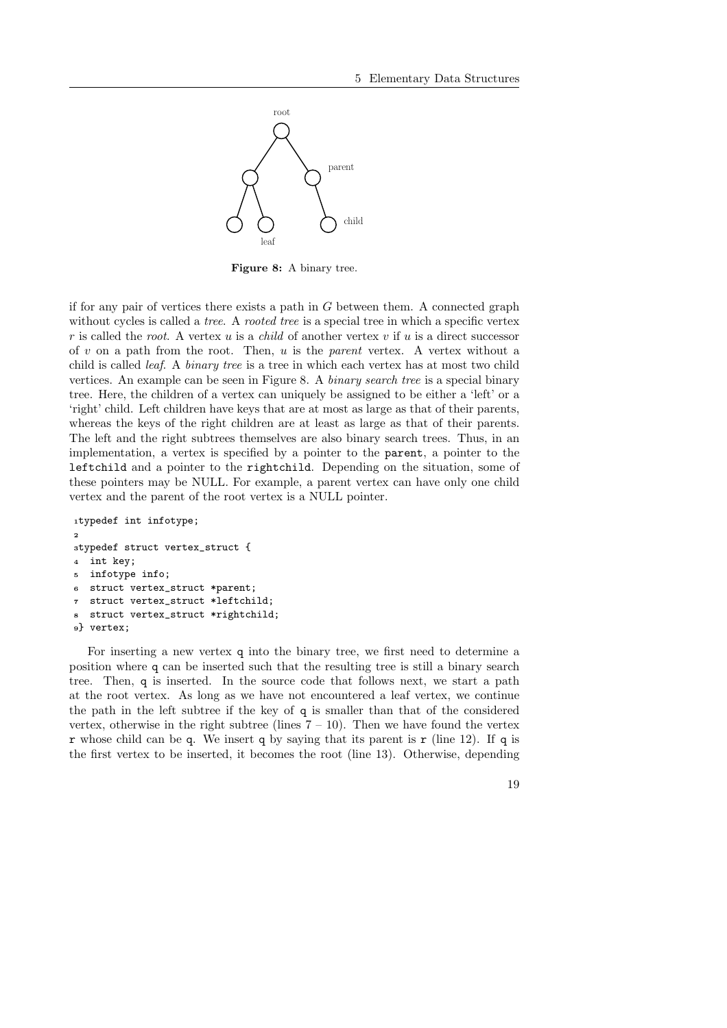19



Figure 8: A binary tree.

if for any pair of vertices there exists a path in  $G$  between them. A connected graph without cycles is called a *tree*. A *rooted tree* is a special tree in which a specific vertex r is called the *root*. A vertex  $u$  is a *child* of another vertex  $v$  if  $u$  is a direct successor of v on a path from the root. Then, u is the *parent* vertex. A vertex without a child is called *leaf*. A *binary tree* is a tree in which each vertex has at most two child vertices. An example can be seen in Figure 8. A *binary search tree* is a special binary tree. Here, the children of a vertex can uniquely be assigned to be either a 'left' or a 'right' child. Left children have keys that are at most as large as that of their parents, whereas the keys of the right children are at least as large as that of their parents. The left and the right subtrees themselves are also binary search trees. Thus, in an implementation, a vertex is specified by a pointer to the parent, a pointer to the leftchild and a pointer to the rightchild. Depending on the situation, some of these pointers may be NULL. For example, a parent vertex can have only one child vertex and the parent of the root vertex is a NULL pointer.

```
1typedef int infotype;
2
3typedef struct vertex_struct {
4 int key;
  infotype info;
  struct vertex_struct *parent;
  struct vertex_struct *leftchild;
  struct vertex_struct *rightchild;
9} vertex;
```
For inserting a new vertex q into the binary tree, we first need to determine a position where q can be inserted such that the resulting tree is still a binary search tree. Then, q is inserted. In the source code that follows next, we start a path at the root vertex. As long as we have not encountered a leaf vertex, we continue the path in the left subtree if the key of q is smaller than that of the considered vertex, otherwise in the right subtree (lines  $7 - 10$ ). Then we have found the vertex r whose child can be q. We insert q by saying that its parent is r (line 12). If q is the first vertex to be inserted, it becomes the root (line 13). Otherwise, depending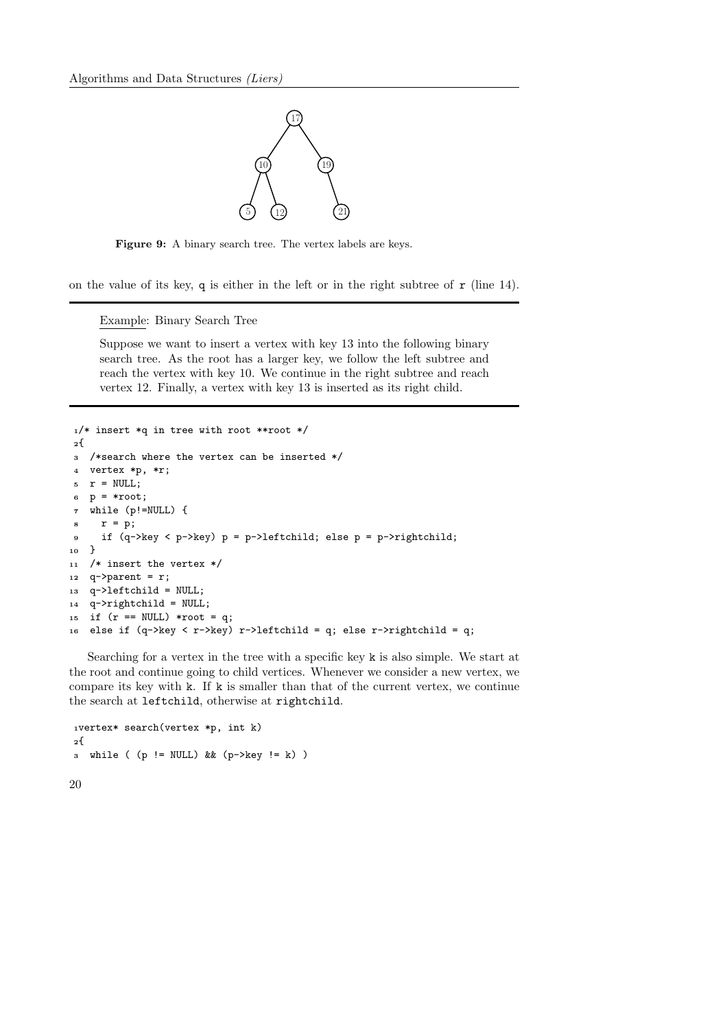

Figure 9: A binary search tree. The vertex labels are keys.

on the value of its key,  $q$  is either in the left or in the right subtree of  $r$  (line 14).

Example: Binary Search Tree

Suppose we want to insert a vertex with key 13 into the following binary search tree. As the root has a larger key, we follow the left subtree and reach the vertex with key 10. We continue in the right subtree and reach vertex 12. Finally, a vertex with key 13 is inserted as its right child.

```
1/* insert *q in tree with root **root */
2{
3 /*search where the vertex can be inserted */
4 vertex *p, *r;
5 r = NULL;6 p = *root;
7 while (p!=NULL) {
     r = p;9 if (q->key < p->key) p = p->leftchild; else p = p->rightchild;
10 }
11 /* insert the vertex */
12 q->parent = r;
13 q->leftchild = NULL;
14 q->rightchild = NULL;
15 if (r == NULL) * root = q;16 else if (q-\lambda key < r-\lambda key) r-\lambdaleftchild = q; else r-\lambdarightchild = q;
```
Searching for a vertex in the tree with a specific key k is also simple. We start at the root and continue going to child vertices. Whenever we consider a new vertex, we compare its key with k. If k is smaller than that of the current vertex, we continue the search at leftchild, otherwise at rightchild.

<sup>1</sup>vertex\* search(vertex \*p, int k)  $2^{5}$  $\text{3}$  while ( (p != NULL) && (p->key != k) ) 20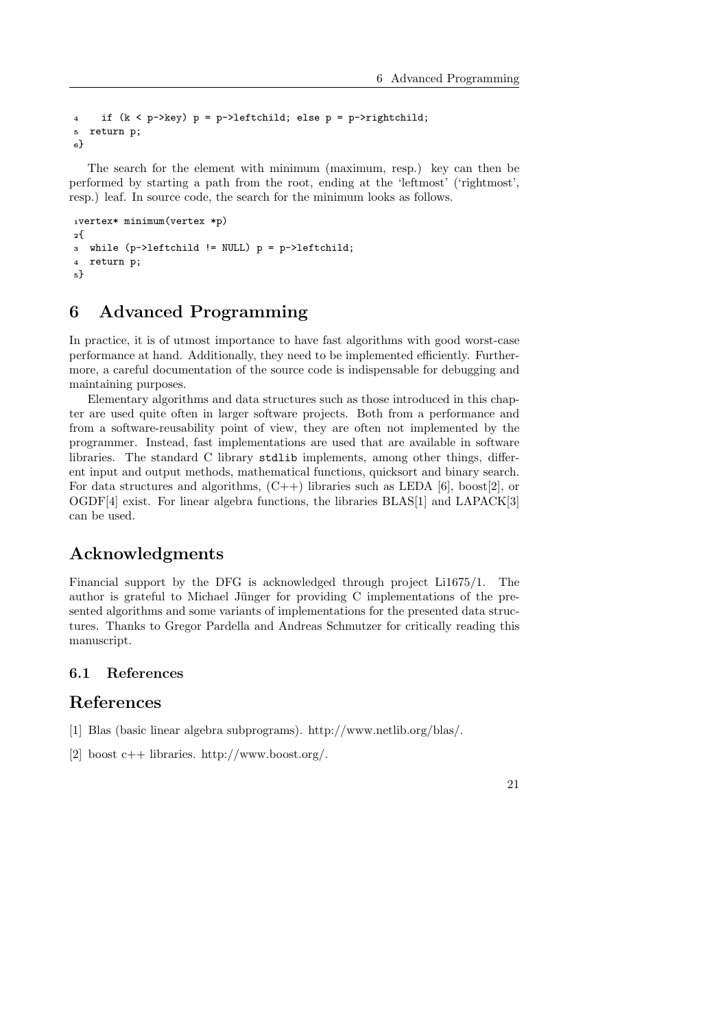```
4 if (k < p->key) p = p->leftchild; else p = p->rightchild;
5 return p;
\mathbf{a}
```
The search for the element with minimum (maximum, resp.) key can then be performed by starting a path from the root, ending at the 'leftmost' ('rightmost', resp.) leaf. In source code, the search for the minimum looks as follows.

```
1vertex* minimum(vertex *p)
2{
3 while (p->leftchild != NULL) p = p->leftchild;
4 return p;
5}
```
# 6 Advanced Programming

In practice, it is of utmost importance to have fast algorithms with good worst-case performance at hand. Additionally, they need to be implemented efficiently. Furthermore, a careful documentation of the source code is indispensable for debugging and maintaining purposes.

Elementary algorithms and data structures such as those introduced in this chapter are used quite often in larger software projects. Both from a performance and from a software-reusability point of view, they are often not implemented by the programmer. Instead, fast implementations are used that are available in software libraries. The standard C library stdlib implements, among other things, different input and output methods, mathematical functions, quicksort and binary search. For data structures and algorithms,  $(C++)$  libraries such as LEDA [6], boost[2], or OGDF[4] exist. For linear algebra functions, the libraries BLAS[1] and LAPACK[3] can be used.

# Acknowledgments

Financial support by the DFG is acknowledged through project Li1675/1. The author is grateful to Michael Jünger for providing C implementations of the presented algorithms and some variants of implementations for the presented data structures. Thanks to Gregor Pardella and Andreas Schmutzer for critically reading this manuscript.

### 6.1 References

# References

- [1] Blas (basic linear algebra subprograms). http://www.netlib.org/blas/.
- [2] boost c++ libraries. http://www.boost.org/.